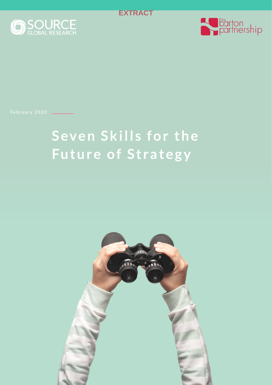

<span id="page-0-0"></span>



February 2020

# **Seven Skills for the Future of Strategy**

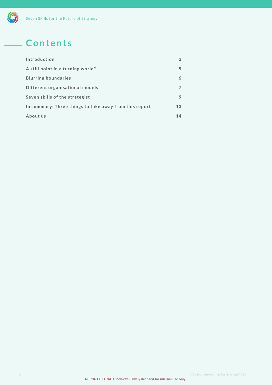# <span id="page-1-0"></span>**Contents**

| Introduction                                           | 3  |
|--------------------------------------------------------|----|
| A still point in a turning world?                      | 5  |
| <b>Blurring boundaries</b>                             | 6  |
| Different organisational models                        |    |
| Seven skills of the strategist                         | 9  |
| In summary: Three things to take away from this report | 13 |
| About us                                               | 14 |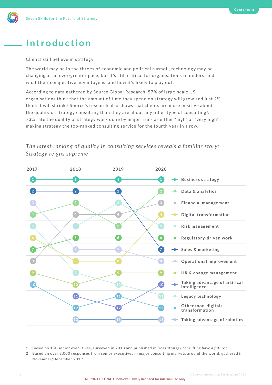## **Introduction**

Clients still believe in strategy.

The world may be in the throes of economic and political turmoil, technology may be changing at an ever-greater pace, but it's still critical for organisations to understand what their competitive advantage is, and how it's likely to play out.

According to data gathered by Source Global Research, 57% of large-scale US organisations think that the amount of time they spend on strategy will grow and just 2% think it will shrink.1 Source's research also shows that clients are more positive about the quality of strategy consulting than they are about any other type of consulting<sup>2</sup>: 73% rate the quality of strategy work done by major firms as either "high" or "very high", making strategy the top-ranked consulting service for the fourth year in a row.

### *The latest ranking of quality in consulting services reveals a familiar story: Strategy reigns supreme*



- 1 Based on 150 senior executives, surveyed in 2018 and published in *Does strategy consulting have a future?*
- 2 Based on over 8,000 responses from senior executives in major consulting markets around the world, gathered in November/December 2019.